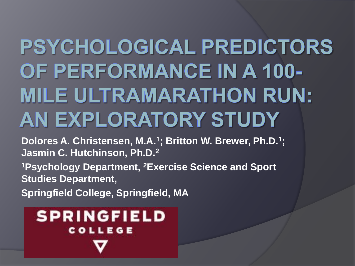# **PSYCHOLOGICAL PREDICTORS** OF PERFORMANCE IN A 100-**MILE ULTRAMARATHON RUN:** AN EXPLORATORY STUDY

**Dolores A. Christensen, M.A.<sup>1</sup> ; Britton W. Brewer, Ph.D.<sup>1</sup> ; Jasmin C. Hutchinson, Ph.D.<sup>2</sup>**

**<sup>1</sup>Psychology Department, <sup>2</sup>Exercise Science and Sport Studies Department,** 

**Springfield College, Springfield, MA**

### **SPRINGFIELD COLLEGE**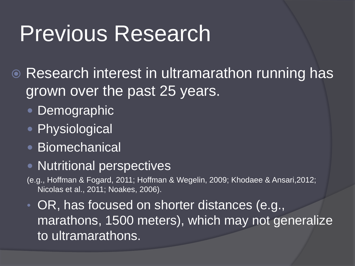**■ Research interest in ultramarathon running has** grown over the past 25 years.

- Demographic
- Physiological
- Biomechanical
- **Nutritional perspectives**
- (e.g., Hoffman & Fogard, 2011; Hoffman & Wegelin, 2009; Khodaee & Ansari,2012; Nicolas et al., 2011; Noakes, 2006).
- OR, has focused on shorter distances (e.g., marathons, 1500 meters), which may not generalize to ultramarathons.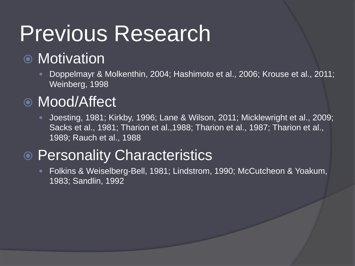### ● Motivation

 Doppelmayr & Molkenthin, 2004; Hashimoto et al., 2006; Krouse et al., 2011; Weinberg, 1998

### Mood/Affect

 Joesting, 1981; Kirkby, 1996; Lane & Wilson, 2011; Micklewright et al., 2009; Sacks et al., 1981; Tharion et al.,1988; Tharion et al., 1987; Tharion et al., 1989; Rauch et al., 1988

### **● Personality Characteristics**

 Folkins & Weiselberg-Bell, 1981; Lindstrom, 1990; McCutcheon & Yoakum, 1983; Sandlin, 1992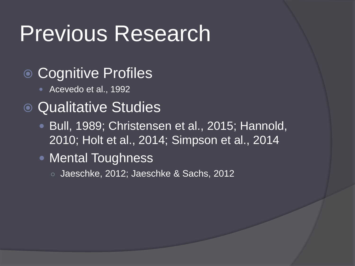- Cognitive Profiles
	- Acevedo et al., 1992

### • Qualitative Studies

- **Bull, 1989; Christensen et al., 2015; Hannold,** 2010; Holt et al., 2014; Simpson et al., 2014
- Mental Toughness
	- Jaeschke, 2012; Jaeschke & Sachs, 2012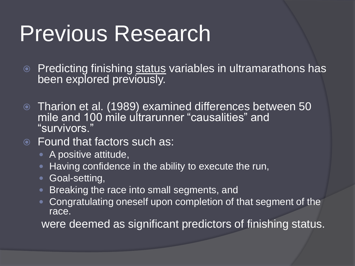- $\circ$  Predicting finishing status variables in ultramarathons has been explored previously.
- Tharion et al. (1989) examined differences between 50 mile and 100 mile ultrarunner "causalities" and "survivors."
- Found that factors such as:
	- A positive attitude,
	- **Having confidence in the ability to execute the run,**
	- **Goal-setting,**
	- **Breaking the race into small segments, and**
	- Congratulating oneself upon completion of that segment of the race.

were deemed as significant predictors of finishing status.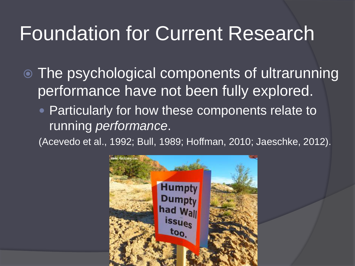### Foundation for Current Research

 The psychological components of ultrarunning performance have not been fully explored.

• Particularly for how these components relate to running *performance*.

(Acevedo et al., 1992; Bull, 1989; Hoffman, 2010; Jaeschke, 2012).

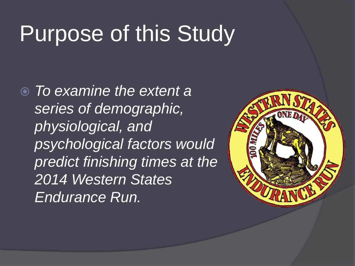# Purpose of this Study

 *To examine the extent a series of demographic, physiological, and psychological factors would predict finishing times at the 2014 Western States Endurance Run.* 

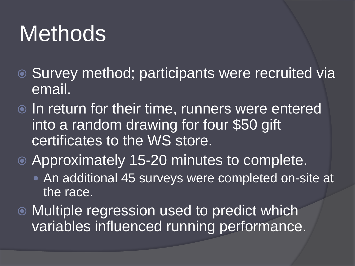# **Methods**

- Survey method; participants were recruited via email.
- $\odot$  In return for their time, runners were entered into a random drawing for four \$50 gift certificates to the WS store.
- Approximately 15-20 minutes to complete.
	- An additional 45 surveys were completed on-site at the race.
- Multiple regression used to predict which variables influenced running performance.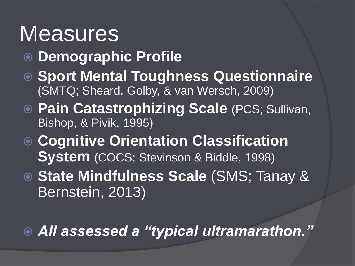### **Measures**

- **Demographic Profile**
- **Sport Mental Toughness Questionnaire** (SMTQ; Sheard, Golby, & van Wersch, 2009)
- **Pain Catastrophizing Scale** (PCS; Sullivan, Bishop, & Pivik, 1995)
- **Cognitive Orientation Classification System** (COCS; Stevinson & Biddle, 1998)
- **State Mindfulness Scale** (SMS; Tanay & Bernstein, 2013)

### *All assessed a "typical ultramarathon."*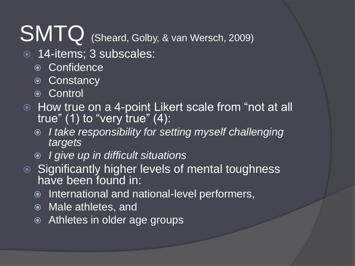# SMTQ (Sheard, Golby, & van Wersch, 2009)

- 14-items; 3 subscales:
	- Confidence
	- Constancy
	- **⊙ Control**
- $\bullet$  How true on a 4-point Likert scale from "not at all true"  $(1)$  to "very true"  $(4)$ :
	- *I take responsibility for setting myself challenging targets*
	- *I give up in difficult situations*
- Significantly higher levels of mental toughness have been found in:
	- International and national-level performers,
	- Male athletes, and
	- Athletes in older age groups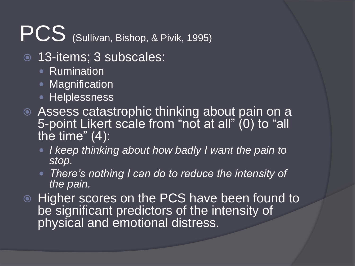# PCS (Sullivan, Bishop, & Pivik, 1995)

- 13-items; 3 subscales:
	- Rumination
	- Magnification
	- **Helplessness**
- Assess catastrophic thinking about pain on a 5-point Likert scale from "not at all" (0) to "all the time"  $(4)$ :
	- *I keep thinking about how badly I want the pain to stop.*
	- *There's nothing I can do to reduce the intensity of the pain.*
- **Higher scores on the PCS have been found to** be significant predictors of the intensity of physical and emotional distress.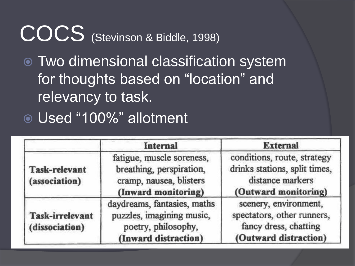## COCS (Stevinson & Biddle, 1998)

 Two dimensional classification system for thoughts based on "location" and relevancy to task.

Used "100%" allotment

|                                          | Internal                                                                                                | <b>External</b><br>conditions, route, strategy<br>drinks stations, split times,<br>distance markers<br>(Outward monitoring) |  |  |
|------------------------------------------|---------------------------------------------------------------------------------------------------------|-----------------------------------------------------------------------------------------------------------------------------|--|--|
| <b>Task-relevant</b><br>(association)    | fatigue, muscle soreness,<br>breathing, perspiration,<br>cramp, nausea, blisters<br>(Inward monitoring) |                                                                                                                             |  |  |
| <b>Task-irrelevant</b><br>(dissociation) | daydreams, fantasies, maths<br>puzzles, imagining music,<br>poetry, philosophy,<br>(Inward distraction) | scenery, environment,<br>spectators, other runners,<br>fancy dress, chatting<br>(Outward distraction)                       |  |  |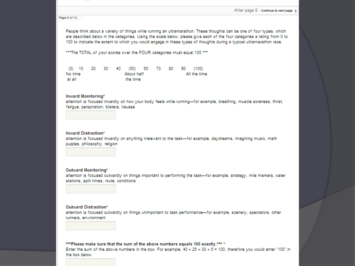### Page 9 of 12

People think about a variety of things while running an ultramarathon. These thoughts can be one of four types, which are described below in the categories. Using the scale below, please give each of the four categories a rating from 0 to 100 to indicate the extent to which you would engage in these types of thoughts during a typical ultramarathon race.

\*\*\* The TOTAL of your scores over the FOUR categories must equal 100.\*\*\*

|         |            |  |  |          |  |  |              |  | (0) 10 20 30 40 (50) 60 70 80 90 (100) |
|---------|------------|--|--|----------|--|--|--------------|--|----------------------------------------|
| No time | About half |  |  |          |  |  | All the time |  |                                        |
| at all  |            |  |  | the time |  |  |              |  |                                        |

### Inward Monitoring\*

attention is focused inwardly on how your body feels while running-for example, breathing, muscle soreness, thirst, fatigue, perspiration, blisters, nausea

### **Inward Distraction\***

attention is focused inwardly on anything irrelevant to the task-for example, daydreams, imagining music, math puzzles, philosophy, religion

### Outward Monitoring\*

attention is focused outwardly on things important to performing the task-for example, strategy, mile markers, water stations, solit times, route, conditions

### Outward Distraction\*

attention is focused outwardly on things unimportant to task performance-for example, scenery, spectators, other runners, environment

### \*\*\* Please make sure that the sum of the above numbers equals 100 exactly.\*\*\* \*

Enter the sum of the above numbers in the box. For example,  $40 + 25 + 30 + 5 = 100$ , therefore you would enter "100" in the box below.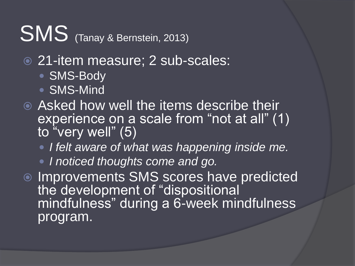# SMS (Tanay & Bernstein, 2013)

- 21-item measure; 2 sub-scales:
	- SMS-Body
	- SMS-Mind
- Asked how well the items describe their experience on a scale from "not at all" (1) to "very well" (5)
	- *I felt aware of what was happening inside me.*
	- *I noticed thoughts come and go.*
- $\bullet$  Improvements SMS scores have predicted the development of "dispositional mindfulness" during a 6-week mindfulness program.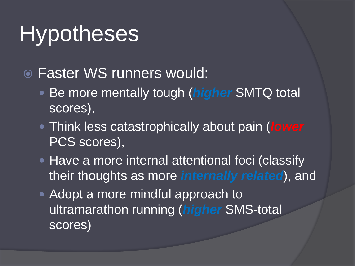# **Hypotheses**

**• Faster WS runners would:** 

- Be more mentally tough (*higher* SMTQ total scores),
- Think less catastrophically about pain (*lower* PCS scores),
- Have a more internal attentional foci (classify their thoughts as more *internally related*), and
- Adopt a more mindful approach to ultramarathon running (*higher* SMS-total scores)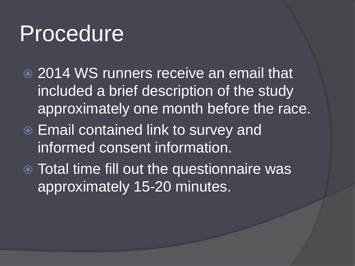### Procedure

- **2014 WS runners receive an email that** included a brief description of the study approximately one month before the race.
- Email contained link to survey and informed consent information.
- Total time fill out the questionnaire was approximately 15-20 minutes.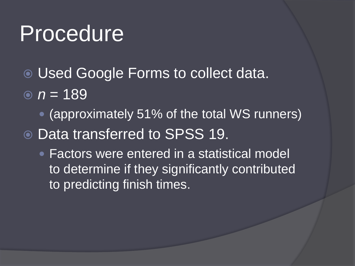### Procedure

- Used Google Forms to collect data.
- $n = 189$ 
	- (approximately 51% of the total WS runners)
- Data transferred to SPSS 19.
	- Factors were entered in a statistical model to determine if they significantly contributed to predicting finish times.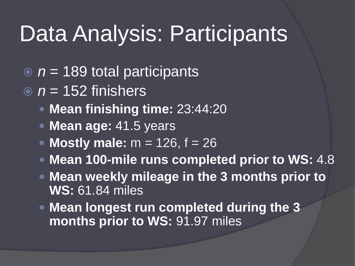## Data Analysis: Participants

- *n* = 189 total participants
- $\overline{p}$  *n* = 152 finishers
	- **Mean finishing time:** 23:44:20
	- **Mean age:** 41.5 years
	- **Mostly male:**  $m = 126$ ,  $f = 26$
	- **Mean 100-mile runs completed prior to WS:** 4.8
	- **Mean weekly mileage in the 3 months prior to WS:** 61.84 miles
	- **Mean longest run completed during the 3 months prior to WS:** 91.97 miles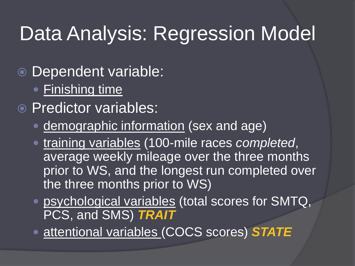### Data Analysis: Regression Model

- Dependent variable:
	- Finishing time
- Predictor variables:
	- demographic information (sex and age)
	- training variables (100-mile races *completed*, average weekly mileage over the three months prior to WS, and the longest run completed over the three months prior to WS)
	- psychological variables (total scores for SMTQ, PCS, and SMS) *TRAIT*
	- attentional variables (COCS scores) *STATE*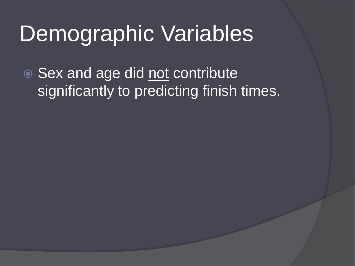## Demographic Variables

● Sex and age did not contribute significantly to predicting finish times.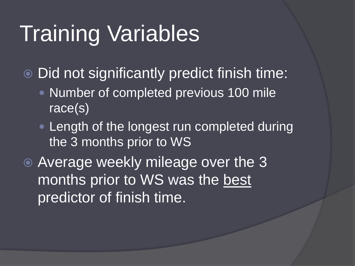# Training Variables

Did not significantly predict finish time:

- Number of completed previous 100 mile race(s)
- **Length of the longest run completed during** the 3 months prior to WS

**• Average weekly mileage over the 3** months prior to WS was the best predictor of finish time.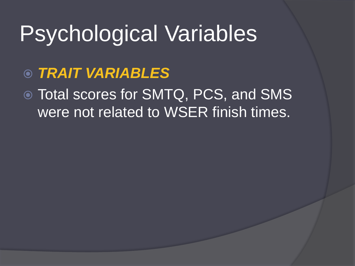# Psychological Variables

- *TRAIT VARIABLES*
- Total scores for SMTQ, PCS, and SMS were not related to WSER finish times.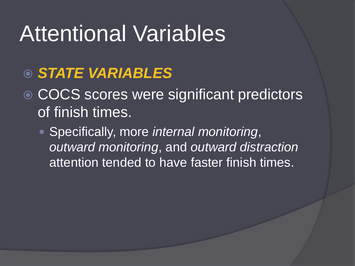## Attentional Variables

### *STATE VARIABLES*

● COCS scores were significant predictors of finish times.

 Specifically, more *internal monitoring*, *outward monitoring*, and *outward distraction* attention tended to have faster finish times.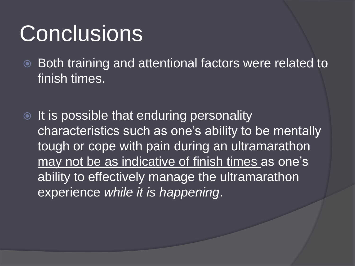## **Conclusions**

- **Both training and attentional factors were related to** finish times.
- $\bullet$  It is possible that enduring personality characteristics such as one's ability to be mentally tough or cope with pain during an ultramarathon may not be as indicative of finish times as one's ability to effectively manage the ultramarathon experience *while it is happening*.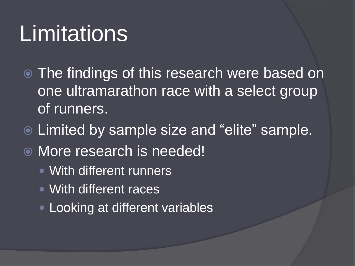# **Limitations**

- The findings of this research were based on one ultramarathon race with a select group of runners.
- Limited by sample size and "elite" sample.
- More research is needed!
	- With different runners
	- With different races
	- Looking at different variables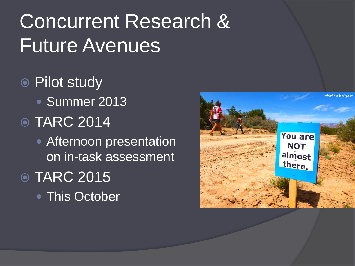### Concurrent Research & Future Avenues

● Pilot study • Summer 2013 **◎ TARC 2014 • Afternoon presentation** on in-task assessment **◎ TARC 2015** • This October

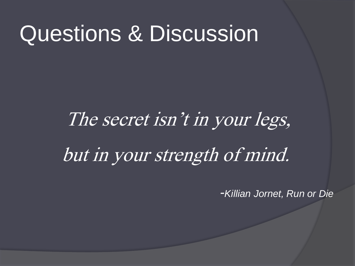### Questions & Discussion

# The secret isn't in your legs, but in your strength of mind.

*-Killian Jornet, Run or Die*